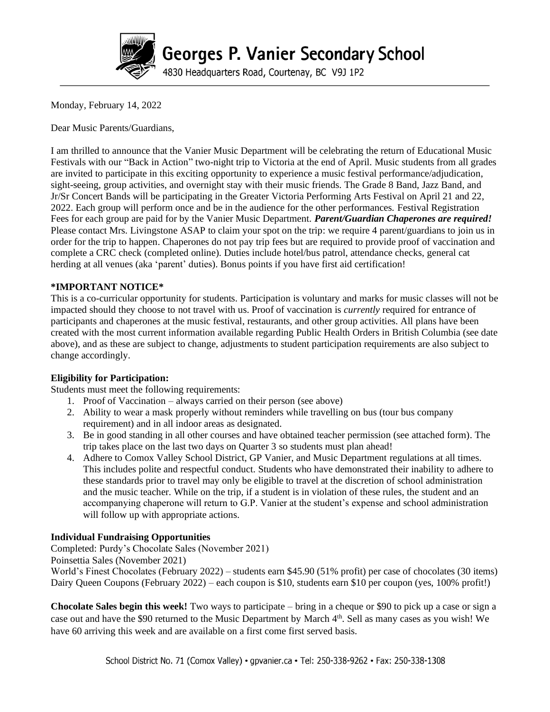

# **Georges P. Vanier Secondary School**

4830 Headquarters Road, Courtenay, BC V9J 1P2

Monday, February 14, 2022

Dear Music Parents/Guardians,

I am thrilled to announce that the Vanier Music Department will be celebrating the return of Educational Music Festivals with our "Back in Action" two-night trip to Victoria at the end of April. Music students from all grades are invited to participate in this exciting opportunity to experience a music festival performance/adjudication, sight-seeing, group activities, and overnight stay with their music friends. The Grade 8 Band, Jazz Band, and Jr/Sr Concert Bands will be participating in the Greater Victoria Performing Arts Festival on April 21 and 22, 2022. Each group will perform once and be in the audience for the other performances. Festival Registration Fees for each group are paid for by the Vanier Music Department. *Parent/Guardian Chaperones are required!* Please contact Mrs. Livingstone ASAP to claim your spot on the trip: we require 4 parent/guardians to join us in order for the trip to happen. Chaperones do not pay trip fees but are required to provide proof of vaccination and complete a CRC check (completed online). Duties include hotel/bus patrol, attendance checks, general cat herding at all venues (aka 'parent' duties). Bonus points if you have first aid certification!

#### **\*IMPORTANT NOTICE\***

This is a co-curricular opportunity for students. Participation is voluntary and marks for music classes will not be impacted should they choose to not travel with us. Proof of vaccination is *currently* required for entrance of participants and chaperones at the music festival, restaurants, and other group activities. All plans have been created with the most current information available regarding Public Health Orders in British Columbia (see date above), and as these are subject to change, adjustments to student participation requirements are also subject to change accordingly.

#### **Eligibility for Participation:**

Students must meet the following requirements:

- 1. Proof of Vaccination always carried on their person (see above)
- 2. Ability to wear a mask properly without reminders while travelling on bus (tour bus company requirement) and in all indoor areas as designated.
- 3. Be in good standing in all other courses and have obtained teacher permission (see attached form). The trip takes place on the last two days on Quarter 3 so students must plan ahead!
- 4. Adhere to Comox Valley School District, GP Vanier, and Music Department regulations at all times. This includes polite and respectful conduct. Students who have demonstrated their inability to adhere to these standards prior to travel may only be eligible to travel at the discretion of school administration and the music teacher. While on the trip, if a student is in violation of these rules, the student and an accompanying chaperone will return to G.P. Vanier at the student's expense and school administration will follow up with appropriate actions.

## **Individual Fundraising Opportunities**

Completed: Purdy's Chocolate Sales (November 2021)

Poinsettia Sales (November 2021)

World's Finest Chocolates (February 2022) – students earn \$45.90 (51% profit) per case of chocolates (30 items) Dairy Queen Coupons (February 2022) – each coupon is \$10, students earn \$10 per coupon (yes, 100% profit!)

**Chocolate Sales begin this week!** Two ways to participate – bring in a cheque or \$90 to pick up a case or sign a case out and have the \$90 returned to the Music Department by March 4<sup>th</sup>. Sell as many cases as you wish! We have 60 arriving this week and are available on a first come first served basis.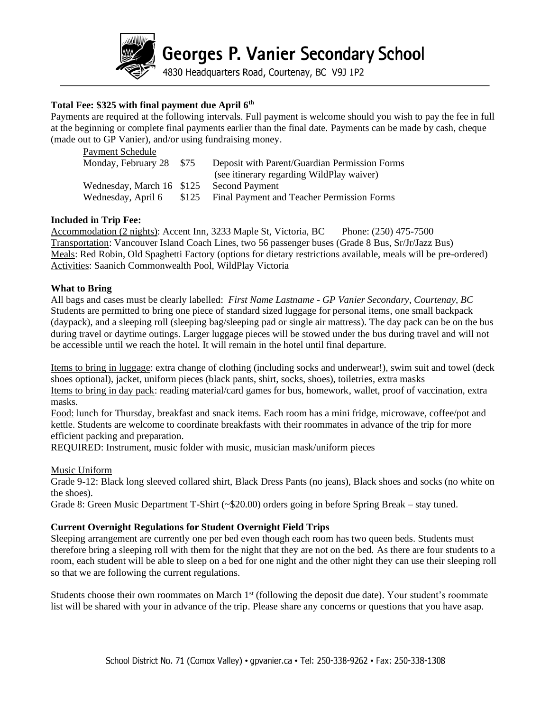

Georges P. Vanier Secondary School

4830 Headquarters Road, Courtenay, BC V9J 1P2

#### **Total Fee: \$325 with final payment due April 6 th**

Payments are required at the following intervals. Full payment is welcome should you wish to pay the fee in full at the beginning or complete final payments earlier than the final date. Payments can be made by cash, cheque (made out to GP Vanier), and/or using fundraising money.

| Payment Schedule          |       |                                               |
|---------------------------|-------|-----------------------------------------------|
| Monday, February 28       | \$75  | Deposit with Parent/Guardian Permission Forms |
|                           |       | (see itinerary regarding WildPlay waiver)     |
| Wednesday, March 16 \$125 |       | <b>Second Payment</b>                         |
| Wednesday, April 6        | \$125 | Final Payment and Teacher Permission Forms    |

#### **Included in Trip Fee:**

Accommodation (2 nights): Accent Inn, 3233 Maple St, Victoria, BC Phone: (250) 475-7500 Transportation: Vancouver Island Coach Lines, two 56 passenger buses (Grade 8 Bus, Sr/Jr/Jazz Bus) Meals: Red Robin, Old Spaghetti Factory (options for dietary restrictions available, meals will be pre-ordered) Activities: Saanich Commonwealth Pool, WildPlay Victoria

#### **What to Bring**

All bags and cases must be clearly labelled: *First Name Lastname - GP Vanier Secondary, Courtenay, BC* Students are permitted to bring one piece of standard sized luggage for personal items, one small backpack (daypack), and a sleeping roll (sleeping bag/sleeping pad or single air mattress). The day pack can be on the bus during travel or daytime outings. Larger luggage pieces will be stowed under the bus during travel and will not be accessible until we reach the hotel. It will remain in the hotel until final departure.

Items to bring in luggage: extra change of clothing (including socks and underwear!), swim suit and towel (deck shoes optional), jacket, uniform pieces (black pants, shirt, socks, shoes), toiletries, extra masks Items to bring in day pack: reading material/card games for bus, homework, wallet, proof of vaccination, extra masks.

Food: lunch for Thursday, breakfast and snack items. Each room has a mini fridge, microwave, coffee/pot and kettle. Students are welcome to coordinate breakfasts with their roommates in advance of the trip for more efficient packing and preparation.

REQUIRED: Instrument, music folder with music, musician mask/uniform pieces

Music Uniform

Grade 9-12: Black long sleeved collared shirt, Black Dress Pants (no jeans), Black shoes and socks (no white on the shoes).

Grade 8: Green Music Department T-Shirt (~\$20.00) orders going in before Spring Break – stay tuned.

#### **Current Overnight Regulations for Student Overnight Field Trips**

Sleeping arrangement are currently one per bed even though each room has two queen beds. Students must therefore bring a sleeping roll with them for the night that they are not on the bed. As there are four students to a room, each student will be able to sleep on a bed for one night and the other night they can use their sleeping roll so that we are following the current regulations.

Students choose their own roommates on March 1<sup>st</sup> (following the deposit due date). Your student's roommate list will be shared with your in advance of the trip. Please share any concerns or questions that you have asap.